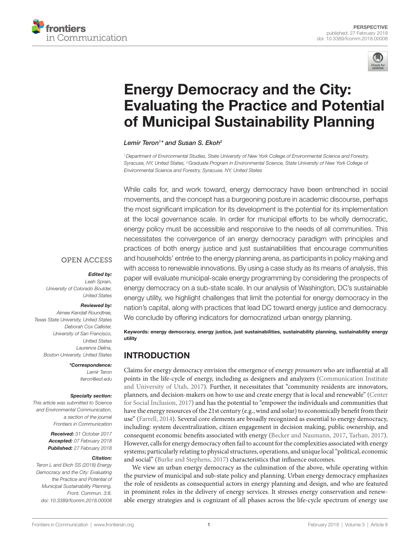



# **Energy Democracy and the City: Evaluating the Practice and Potential** of Municipal Sustainability Planning

*[Lemir Teron](http://loop.frontiersin.org/people/464716)1 \* and [Susan S. Ekoh](http://loop.frontiersin.org/people/493915)2*

*1Department of Environmental Studies, State University of New York College of Environmental Science and Forestry, Syracuse, NY, United States, 2Graduate Program in Environmental Science, State University of New York College of Environmental Science and Forestry, Syracuse, NY, United States*

While calls for, and work toward, energy democracy have been entrenched in social movements, and the concept has a burgeoning posture in academic discourse, perhaps the most significant implication for its development is the potential for its implementation at the local governance scale. In order for municipal efforts to be wholly democratic, energy policy must be accessible and responsive to the needs of all communities. This necessitates the convergence of an energy democracy paradigm with principles and practices of both energy justice and just sustainabilities that encourage communities and households' entrée to the energy planning arena, as participants in policy making and with access to renewable innovations. By using a case study as its means of analysis, this paper will evaluate municipal-scale energy programming by considering the prospects of energy democracy on a sub-state scale. In our analysis of Washington, DC's sustainable energy utility, we highlight challenges that limit the potential for energy democracy in the nation's capital, along with practices that lead DC toward energy justice and democracy. We conclude by offering indicators for democratized urban energy planning.

Keywords: energy democracy, energy justice, just sustainabilities, sustainability planning, sustainability energy utility

# INTRODUCTION

Claims for energy democracy envision the emergence of energy *prosumers* who are influential at all points in the life-cycle of energy, including as designers and analyzers ([Communication Institute](#page-4-0)  [and University of Utah, 2017\)](#page-4-0). Further, it necessitates that "community residents are innovators, planners, and decision-makers on how to use and create energy that is local and renewable" [\(Center](#page-4-1)  [for Social Inclusion, 2017\)](#page-4-1) and has the potential to "empower the individuals and communities that have the energy resources of the 21st century (e.g., wind and solar) to economically benefit from their use" [\(Farrell, 2014](#page-4-2)). Several core elements are broadly recognized as essential to energy democracy, including: system decentralization, citizen engagement in decision making, public ownership, and consequent economic benefits associated with energy [\(Becker and Naumann, 2017](#page-4-3), [Tarhan, 2017](#page-4-4)). However, calls for energy democracy often fail to account for the complexities associated with energy systems; particularly relating to physical structures, operations, and unique local "political, economic and social" ([Burke and Stephens, 2017\)](#page-4-5) characteristics that influence outcomes.

We view an urban energy democracy as the culmination of the above, while operating within the purview of municipal and sub-state policy and planning. Urban energy democracy emphasizes the role of residents as consequential actors in energy planning and design, and who are featured in prominent roles in the delivery of energy services. It stresses energy conservation and renewable energy strategies and is cognizant of all phases across the life-cycle spectrum of energy use

#### **OPEN ACCESS**

#### *Edited by:*

*Leah Sprain, University of Colorado Boulder, United States*

#### *Reviewed by:*

*Aimee Kendall Roundtree, Texas State University, United States Deborah Cox Callister, University of San Francisco, United States Laurence Delina, Boston University, United States*

> *\*Correspondence: Lemir Teron [lteron@esf.edu](mailto:lteron@esf.edu)*

#### *Specialty section:*

*This article was submitted to Science and Environmental Communication, a section of the journal Frontiers in Communication*

> *Received: 31 October 2017 Accepted: 07 February 2018 Published: 27 February 2018*

#### *Citation:*

*Teron L and Ekoh SS (2018) Energy Democracy and the City: Evaluating the Practice and Potential of Municipal Sustainability Planning. Front. Commun. 3:8. doi: [10.3389/fcomm.2018.00008](https://doi.org/10.3389/fcomm.2018.00008)*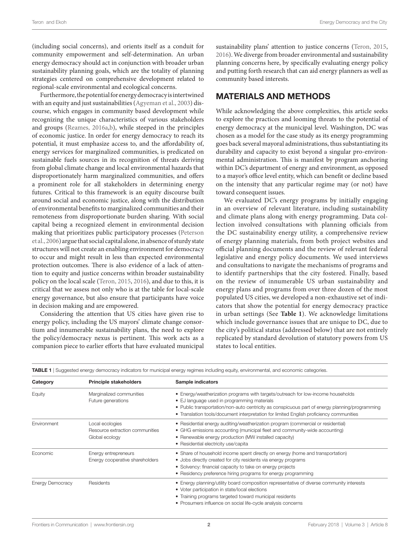(including social concerns), and orients itself as a conduit for community empowerment and self-determination. An urban energy democracy should act in conjunction with broader urban sustainability planning goals, which are the totality of planning strategies centered on comprehensive development related to regional-scale environmental and ecological concerns.

Furthermore, the potential for energy democracy is intertwined with an equity and just sustainabilities [\(Agyeman et al., 2003\)](#page-4-6) discourse, which engages in community based development while recognizing the unique characteristics of various stakeholders and groups ([Reames, 2016a](#page-4-7)[,b](#page-4-8)), while steeped in the principles of economic justice. In order for energy democracy to reach its potential, it must emphasize access to, and the affordability of, energy services for marginalized communities, is predicated on sustainable fuels sources in its recognition of threats deriving from global climate change and local environmental hazards that disproportionately harm marginalized communities, and offers a prominent role for all stakeholders in determining energy futures. Critical to this framework is an equity discourse built around social and economic justice, along with the distribution of environmental benefits to marginalized communities and their remoteness from disproportionate burden sharing. With social capital being a recognized element in environmental decision making that prioritizes public participatory processes [\(Peterson](#page-4-9) [et al., 2006\)](#page-4-9) argue that social capital alone, in absence of sturdy state structures will not create an enabling environment for democracy to occur and might result in less than expected environmental protection outcomes. There is also evidence of a lack of attention to equity and justice concerns within broader sustainability policy on the local scale ([Teron, 2015](#page-4-10), [2016\)](#page-4-11), and due to this, it is critical that we assess not only who is at the table for local-scale energy governance, but also ensure that participants have voice in decision making and are empowered.

Considering the attention that US cities have given rise to energy policy, including the US mayors' climate change consortium and innumerable sustainability plans, the need to explore the policy/democracy nexus is pertinent. This work acts as a companion piece to earlier efforts that have evaluated municipal sustainability plans' attention to justice concerns ([Teron, 2015,](#page-4-10) [2016](#page-4-11)). We diverge from broader environmental and sustainability planning concerns here, by specifically evaluating energy policy and putting forth research that can aid energy planners as well as community based interests.

### MATERIALS AND METHODS

While acknowledging the above complexities, this article seeks to explore the practices and looming threats to the potential of energy democracy at the municipal level. Washington, DC was chosen as a model for the case study as its energy programming goes back several mayoral administrations, thus substantiating its durability and capacity to exist beyond a singular pro-environmental administration. This is manifest by program anchoring within DC's department of energy and environment, as opposed to a mayor's office level entity, which can benefit or decline based on the intensity that any particular regime may (or not) have toward consequent issues.

We evaluated DC's energy programs by initially engaging in an overview of relevant literature, including sustainability and climate plans along with energy programming. Data collection involved consultations with planning officials from the DC sustainability energy utility, a comprehensive review of energy planning materials, from both project websites and official planning documents and the review of relevant federal legislative and energy policy documents. We used interviews and consultations to navigate the mechanisms of programs and to identify partnerships that the city fostered. Finally, based on the review of innumerable US urban sustainability and energy plans and programs from over three dozen of the most populated US cities, we developed a non-exhaustive set of indicators that show the potential for energy democracy practice in urban settings (See **[Table 1](#page-1-0)**). We acknowledge limitations which include governance issues that are unique to DC, due to the city's political status (addressed below) that are not entirely replicated by standard devolution of statutory powers from US states to local entities.

<span id="page-1-0"></span>

| <b>TABLE 1</b> Suggested energy democracy indicators for municipal energy regimes including equity, environmental, and economic categories. |                                                                      |                                                                                                                                                                                                                                                                                                                              |
|---------------------------------------------------------------------------------------------------------------------------------------------|----------------------------------------------------------------------|------------------------------------------------------------------------------------------------------------------------------------------------------------------------------------------------------------------------------------------------------------------------------------------------------------------------------|
| Category                                                                                                                                    | <b>Principle stakeholders</b>                                        | Sample indicators                                                                                                                                                                                                                                                                                                            |
| Equity                                                                                                                                      | Marginalized communities<br>Future generations                       | • Energy/weatherization programs with targets/outreach for low-income households<br>• EJ language used in programming materials<br>• Public transportation/non-auto centricity as conspicuous part of energy planning/programming<br>• Translation tools/document interpretation for limited English proficiency communities |
| Environment                                                                                                                                 | Local ecologies<br>Resource extraction communities<br>Global ecology | • Residential energy auditing/weatherization program (commercial or residential)<br>• GHG emissions accounting (municipal fleet and community-wide accounting)<br>• Renewable energy production (MW installed capacity)<br>• Residential electricity use/capita                                                              |
| Economic                                                                                                                                    | Energy entrepreneurs<br>Energy cooperative shareholders              | • Share of household income spent directly on energy (home and transportation)<br>• Jobs directly created for city residents via energy programs<br>• Solvency: financial capacity to take on energy projects<br>• Residency preference hiring programs for energy programming                                               |
| <b>Energy Democracy</b>                                                                                                                     | Residents                                                            | • Energy planning/utility board composition representative of diverse community interests<br>• Voter participation in state/local elections<br>• Training programs targeted toward municipal residents<br>• Prosumers influence on social life-cycle analysis concerns                                                       |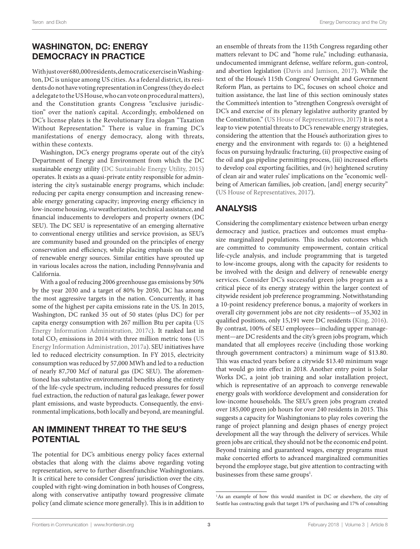# WASHINGTON, DC: ENERGY DEMOCRACY IN PRACTICE

With just over 680,000 residents, democratic exercise in Washington, DC is unique among US cities. As a federal district, its residents do not have voting representation in Congress (they do elect a delegate to the US House, who can vote on procedural matters), and the Constitution grants Congress "exclusive jurisdiction" over the nation's capital. Accordingly, emboldened on DC's license plates is the Revolutionary Era slogan "Taxation Without Representation." There is value in framing DC's manifestations of energy democracy, along with threats, within these contexts.

Washington, DC's energy programs operate out of the city's Department of Energy and Environment from which the DC sustainable energy utility [\(DC Sustainable Energy Utility, 2015](#page-4-12)) operates. It exists as a quasi-private entity responsible for administering the city's sustainable energy programs, which include: reducing per capita energy consumption and increasing renewable energy generating capacity; improving energy efficiency in low-income housing, *via* weatherization, technical assistance, and financial inducements to developers and property owners (DC SEU). The DC SEU is representative of an emerging alternative to conventional energy utilities and service provision, as SEU's are community based and grounded on the principles of energy conservation and efficiency, while placing emphasis on the use of renewable energy sources. Similar entities have sprouted up in various locales across the nation, including Pennsylvania and California.

With a goal of reducing 2006 greenhouse gas emissions by 50% by the year 2030 and a target of 80% by 2050, DC has among the most aggressive targets in the nation. Concurrently, it has some of the highest per capita emissions rate in the US. In 2015, Washington, DC ranked 35 out of 50 states (plus DC) for per capita energy consumption with 267 million Btu per capita ([US](#page-4-13) [Energy Information Administration, 2017c](#page-4-13)). It ranked last in total  $CO<sub>2</sub>$  emissions in 2014 with three million metric tons ([US](#page-4-14) [Energy Information Administration, 2017a\)](#page-4-14). SEU initiatives have led to reduced electricity consumption. In FY 2015, electricity consumption was reduced by 57,000 MWh and led to a reduction of nearly 87,700 Mcf of natural gas (DC SEU). The aforementioned has substantive environmental benefits along the entirety of the life-cycle spectrum, including reduced pressures for fossil fuel extraction, the reduction of natural gas leakage, fewer power plant emissions, and waste byproducts. Consequently, the environmental implications, both locally and beyond, are meaningful.

# AN IMMINENT THREAT TO THE SEU'S POTENTIAL

The potential for DC's ambitious energy policy faces external obstacles that along with the claims above regarding voting representation, serve to further disenfranchise Washingtonians. It is critical here to consider Congress' jurisdiction over the city, coupled with right-wing domination in both houses of Congress, along with conservative antipathy toward progressive climate policy (and climate science more generally). This is in addition to

an ensemble of threats from the 115th Congress regarding other matters relevant to DC and "home rule," including: euthanasia, undocumented immigrant defense, welfare reform, gun-control, and abortion legislation [\(Davis and Jamison, 2017](#page-4-15)). While the text of the House's 115th Congress' Oversight and Government Reform Plan, as pertains to DC, focuses on school choice and tuition assistance, the last line of this section ominously states the Committee's intention to "strengthen Congress's oversight of DC's and exercise of its plenary legislative authority granted by the Constitution." ([US House of Representatives, 2017\)](#page-4-16) It is not a leap to view potential threats to DC's renewable energy strategies, considering the attention that the House's authorization gives to energy and the environment with regards to: (i) a heightened focus on pursuing hydraulic fracturing, (ii) prospective easing of the oil and gas pipeline permitting process, (iii) increased efforts to develop coal exporting facilities, and (iv) heightened scrutiny of clean air and water rules' implications on the "economic wellbeing of American families, job creation, [and] energy security" [\(US House of Representatives, 2017\)](#page-4-16).

# ANALYSIS

Considering the complimentary existence between urban energy democracy and justice, practices and outcomes must emphasize marginalized populations. This includes outcomes which are committed to community empowerment, contain critical life-cycle analysis, and include programming that is targeted to low-income groups, along with the capacity for residents to be involved with the design and delivery of renewable energy services. Consider DC's successful green jobs program as a critical piece of its energy strategy within the larger context of citywide resident job preference programming. Notwithstanding a 10-point residency preference bonus, a majority of workers in overall city government jobs are not city residents—of 35,302 in qualified positions, only 15,191 were DC residents [\(King, 2016](#page-4-17)). By contrast, 100% of SEU employees—including upper management—are DC residents and the city's green jobs program, which mandated that all employees receive (including those working through government contractors) a minimum wage of \$13.80. This was enacted years before a citywide \$13.40 minimum wage that would go into effect in 2018. Another entry point is Solar Works DC, a joint job training and solar installation project, which is representative of an approach to converge renewable energy goals with workforce development and consideration for low-income households. The SEU's green jobs program created over 185,000 green job hours for over 240 residents in 2015. This suggests a capacity for Washingtonians to play roles covering the range of project planning and design phases of energy project development all the way through the delivery of services. While green jobs are critical, they should not be the economic end point. Beyond training and guaranteed wages, energy programs must make concerted efforts to advanced marginalized communities beyond the employee stage, but give attention to contracting with businesses from these same groups<sup>1</sup>.

<span id="page-2-0"></span><sup>&</sup>lt;sup>1</sup>As an example of how this would manifest in DC or elsewhere, the city of Seattle has contracting goals that target 13% of purchasing and 17% of consulting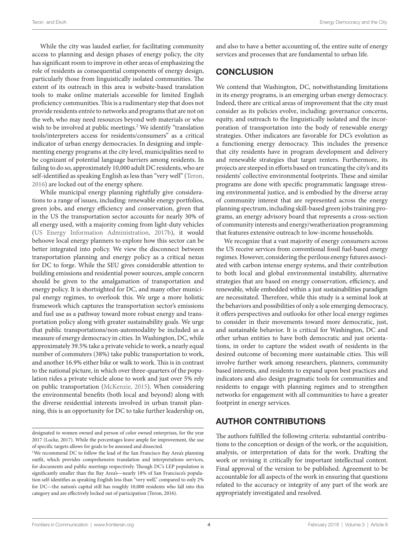While the city was lauded earlier, for facilitating community access to planning and design phases of energy policy, the city has significant room to improve in other areas of emphasizing the role of residents as consequential components of energy design, particularly those from linguistically isolated communities. The extent of its outreach in this area is website-based translation tools to make online materials accessible for limited English proficiency communities. This is a rudimentary step that does not provide residents entrée to networks and programs that are not on the web, who may need resources beyond web materials or who wish to be involved at public meetings.<sup>2</sup> We identify "translation tools/interpreters access for residents/consumers" as a critical indicator of urban energy democracies. In designing and implementing energy programs at the city level, municipalities need to be cognizant of potential language barriers among residents. In failing to do so, approximately 10,000 adult DC residents, who are self-identified as speaking English as less than "very well" ([Teron,](#page-4-11) [2016\)](#page-4-11) are locked out of the energy sphere.

While municipal energy planning rightfully give considerations to a range of issues, including: renewable energy portfolios, green jobs, and energy efficiency and conservation, given that in the US the transportation sector accounts for nearly 30% of all energy used, with a majority coming from light-duty vehicles ([US Energy Information Administration, 2017b](#page-4-18)), it would behoove local energy planners to explore how this sector can be better integrated into policy. We view the disconnect between transportation planning and energy policy as a critical nexus for DC to forge. While the SEU gives considerable attention to building emissions and residential power sources, ample concern should be given to the amalgamation of transportation and energy policy. It is shortsighted for DC, and many other municipal energy regimes, to overlook this. We urge a more holistic framework which captures the transportation sector's emissions and fuel use as a pathway toward more robust energy and transportation policy along with greater sustainability goals. We urge that public transportations/non-automodality be included as a measure of energy democracy in cities. In Washington, DC, while approximately 39.5% take a private vehicle to work, a nearly equal number of commuters (38%) take public transportation to work, and another 16.9% either bike or walk to work. This is in contrast to the national picture, in which over three-quarters of the population rides a private vehicle alone to work and just over 5% rely on public transportation [\(McKenzie, 2015\)](#page-4-19). When considering the environmental benefits (both local and beyond) along with the diverse residential interests involved in urban transit planning, this is an opportunity for DC to take further leadership on,

and also to have a better accounting of, the entire suite of energy services and processes that are fundamental to urban life.

#### **CONCLUSION**

We contend that Washington, DC, notwithstanding limitations in its energy programs, is an emerging urban energy democracy. Indeed, there are critical areas of improvement that the city must consider as its policies evolve, including: governance concerns, equity, and outreach to the linguistically isolated and the incorporation of transportation into the body of renewable energy strategies. Other indicators are favorable for DC's evolution as a functioning energy democracy. This includes the presence that city residents have in program development and delivery and renewable strategies that target renters. Furthermore, its projects are steeped in efforts based on truncating the city's and its residents' collective environmental footprints. These and similar programs are done with specific programmatic language stressing environmental justice, and is embodied by the diverse array of community interest that are represented across the energy planning spectrum, including skill-based green jobs training programs, an energy advisory board that represents a cross-section of community interests and energy/weatherization programming that features extensive outreach to low-income households.

We recognize that a vast majority of energy consumers across the US receive services from conventional fossil fuel-based energy regimes. However, considering the perilous energy futures associated with carbon intense energy systems, and their contribution to both local and global environmental instability, alternative strategies that are based on energy conservation, efficiency, and renewable, while embedded within a just sustainabilities paradigm are necessitated. Therefore, while this study is a seminal look at the behaviors and possibilities of only a sole emerging democracy, it offers perspectives and outlooks for other local energy regimes to consider in their movements toward more democratic, just, and sustainable behavior. It is critical for Washington, DC and other urban entities to have both democratic and just orientations, in order to capture the widest swath of residents in the desired outcome of becoming more sustainable cities. This will involve further work among researchers, planners, community based interests, and residents to expand upon best practices and indicators and also design pragmatic tools for communities and residents to engage with planning regimes and to strengthen networks for engagement with all communities to have a greater footprint in energy services.

### AUTHOR CONTRIBUTIONS

The authors fulfilled the following criteria: substantial contributions to the conception or design of the work, or the acquisition, analysis, or interpretation of data for the work. Drafting the work or revising it critically for important intellectual content. Final approval of the version to be published. Agreement to be accountable for all aspects of the work in ensuring that questions related to the accuracy or integrity of any part of the work are appropriately investigated and resolved.

designated to women owned and person of color owned enterprises, for the year 2017 [\(Locke, 2017](#page-4-20)). While the percentages leave ample for improvement, the use of specific targets allows for goals to be assessed and dissected.

<span id="page-3-0"></span><sup>2</sup>We recommend DC to follow the lead of the San Francisco Bay Area's planning outfit, which provides comprehensive translation and interpretations services, for documents and public meetings respectively. Though DC's LEP population is significantly smaller than the Bay Area's—nearly 18% of San Francisco's population self-identifies as speaking English less than "very well," compared to only 2% for DC—the nation's capital still has roughly 10,000 residents who fall into this category and are effectively locked out of participation ([Teron, 2016](#page-4-11)).